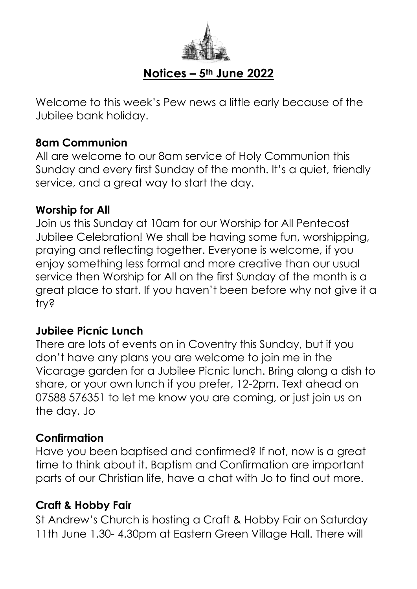

## **Notices – 5th June 2022**

Welcome to this week's Pew news a little early because of the Jubilee bank holiday.

#### **8am Communion**

All are welcome to our 8am service of Holy Communion this Sunday and every first Sunday of the month. It's a quiet, friendly service, and a great way to start the day.

#### **Worship for All**

Join us this Sunday at 10am for our Worship for All Pentecost Jubilee Celebration! We shall be having some fun, worshipping, praying and reflecting together. Everyone is welcome, if you enjoy something less formal and more creative than our usual service then Worship for All on the first Sunday of the month is a great place to start. If you haven't been before why not aive it a try?

#### **Jubilee Picnic Lunch**

There are lots of events on in Coventry this Sunday, but if you don't have any plans you are welcome to join me in the Vicarage garden for a Jubilee Picnic lunch. Bring along a dish to share, or your own lunch if you prefer, 12-2pm. Text ahead on 07588 576351 to let me know you are coming, or just join us on the day. Jo

### **Confirmation**

Have you been baptised and confirmed? If not, now is a great time to think about it. Baptism and Confirmation are important parts of our Christian life, have a chat with Jo to find out more.

### **Craft & Hobby Fair**

St Andrew's Church is hosting a Craft & Hobby Fair on Saturday 11th June 1.30-4.30pm at Eastern Green Village Hall. There will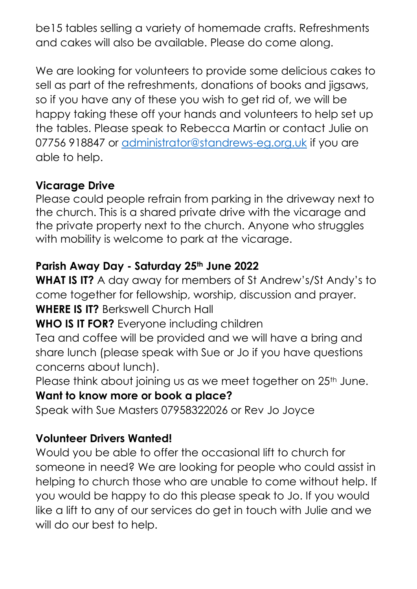be15 tables selling a variety of homemade crafts. Refreshments and cakes will also be available. Please do come along.

We are looking for volunteers to provide some delicious cakes to sell as part of the refreshments, donations of books and jigsaws, so if you have any of these you wish to get rid of, we will be happy taking these off your hands and volunteers to help set up the tables. Please speak to Rebecca Martin or contact Julie on 07756 918847 or [administrator@standrews-eg.org.uk](mailto:administrator@standrews-eg.org.uk) if you are able to help.

### **Vicarage Drive**

Please could people refrain from parking in the driveway next to the church. This is a shared private drive with the vicarage and the private property next to the church. Anyone who struggles with mobility is welcome to park at the vicarage.

# **Parish Away Day - Saturday 25th June 2022**

**WHAT IS IT?** A day away for members of St Andrew's/St Andy's to come together for fellowship, worship, discussion and prayer. **WHERE IS IT?** Berkswell Church Hall

# **WHO IS IT FOR?** Everyone including children

Tea and coffee will be provided and we will have a bring and share lunch (please speak with Sue or Jo if you have questions concerns about lunch).

Please think about joining us as we meet together on 25<sup>th</sup> June. **Want to know more or book a place?**

Speak with Sue Masters 07958322026 or Rev Jo Joyce

# **Volunteer Drivers Wanted!**

Would you be able to offer the occasional lift to church for someone in need? We are looking for people who could assist in helping to church those who are unable to come without help. If you would be happy to do this please speak to Jo. If you would like a lift to any of our services do get in touch with Julie and we will do our best to help.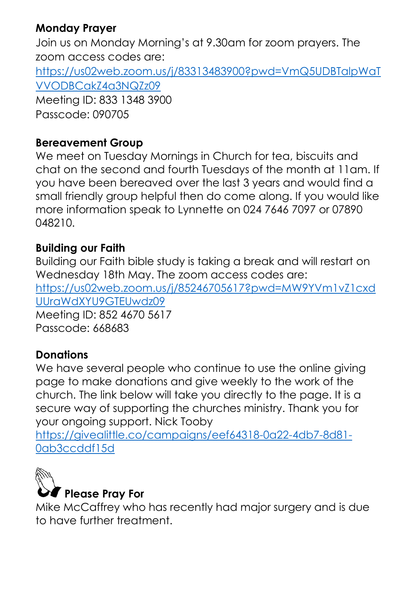## **Monday Prayer**

Join us on Monday Morning's at 9.30am for zoom prayers. The zoom access codes are: [https://us02web.zoom.us/j/83313483900?pwd=VmQ5UDBTalpWaT](https://us02web.zoom.us/j/83313483900?pwd=VmQ5UDBTalpWaTVVODBCakZ4a3NQZz09) [VVODBCakZ4a3NQZz09](https://us02web.zoom.us/j/83313483900?pwd=VmQ5UDBTalpWaTVVODBCakZ4a3NQZz09) Meeting ID: 833 1348 3900 Passcode: 090705

### **Bereavement Group**

We meet on Tuesday Mornings in Church for tea, biscuits and chat on the second and fourth Tuesdays of the month at 11am. If you have been bereaved over the last 3 years and would find a small friendly group helpful then do come along. If you would like more information speak to Lynnette on 024 7646 7097 or 07890 048210.

### **Building our Faith**

Building our Faith bible study is taking a break and will restart on Wednesday 18th May. The zoom access codes are: [https://us02web.zoom.us/j/85246705617?pwd=MW9YVm1vZ1cxd](https://us02web.zoom.us/j/85246705617?pwd=MW9YVm1vZ1cxdUUraWdXYU9GTEUwdz09) [UUraWdXYU9GTEUwdz09](https://us02web.zoom.us/j/85246705617?pwd=MW9YVm1vZ1cxdUUraWdXYU9GTEUwdz09) Meeting ID: 852 4670 5617

Passcode: 668683

## **Donations**

We have several people who continue to use the online giving page to make donations and give weekly to the work of the church. The link below will take you directly to the page. It is a secure way of supporting the churches ministry. Thank you for your ongoing support. Nick Tooby

[https://givealittle.co/campaigns/eef64318-0a22-4db7-8d81-](https://givealittle.co/campaigns/eef64318-0a22-4db7-8d81-0ab3ccddf15d) [0ab3ccddf15d](https://givealittle.co/campaigns/eef64318-0a22-4db7-8d81-0ab3ccddf15d)



Mike McCaffrey who has recently had major surgery and is due to have further treatment.